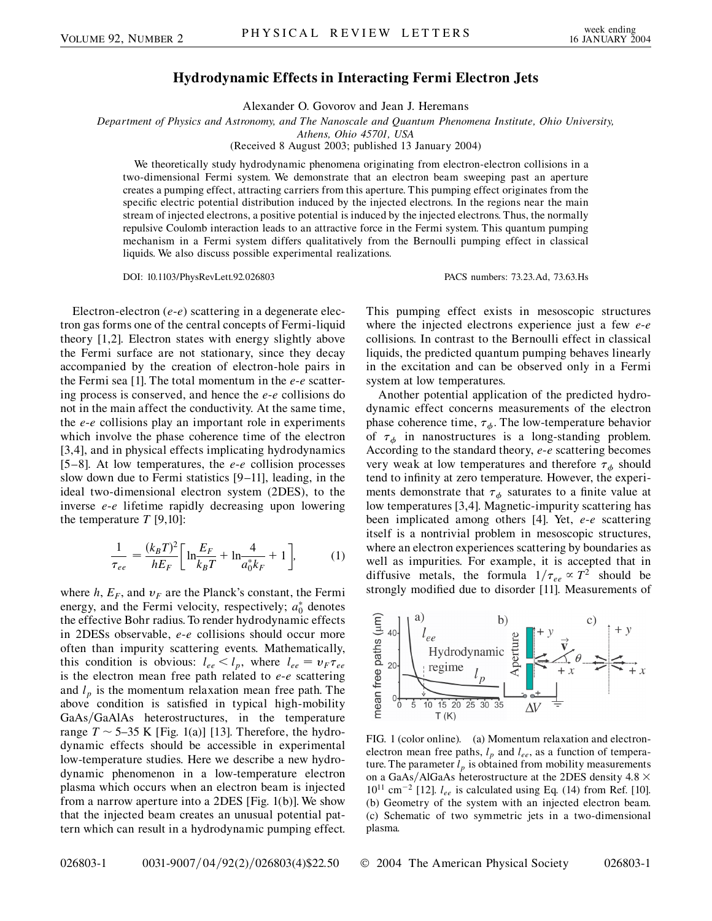## **Hydrodynamic Effects in Interacting Fermi Electron Jets**

Alexander O. Govorov and Jean J. Heremans

*Department of Physics and Astronomy, and The Nanoscale and Quantum Phenomena Institute, Ohio University,*

*Athens, Ohio 45701, USA*

(Received 8 August 2003; published 13 January 2004)

We theoretically study hydrodynamic phenomena originating from electron-electron collisions in a two-dimensional Fermi system. We demonstrate that an electron beam sweeping past an aperture creates a pumping effect, attracting carriers from this aperture. This pumping effect originates from the specific electric potential distribution induced by the injected electrons. In the regions near the main stream of injected electrons, a positive potential is induced by the injected electrons. Thus, the normally repulsive Coulomb interaction leads to an attractive force in the Fermi system. This quantum pumping mechanism in a Fermi system differs qualitatively from the Bernoulli pumping effect in classical liquids. We also discuss possible experimental realizations.

DOI: 10.1103/PhysRevLett.92.026803 PACS numbers: 73.23.Ad, 73.63.Hs

Electron-electron (*e*-*e*) scattering in a degenerate electron gas forms one of the central concepts of Fermi-liquid theory [1,2]. Electron states with energy slightly above the Fermi surface are not stationary, since they decay accompanied by the creation of electron-hole pairs in the Fermi sea [1]. The total momentum in the *e*-*e* scattering process is conserved, and hence the *e*-*e* collisions do not in the main affect the conductivity. At the same time, the *e*-*e* collisions play an important role in experiments which involve the phase coherence time of the electron [3,4], and in physical effects implicating hydrodynamics [5–8]. At low temperatures, the *e*-*e* collision processes slow down due to Fermi statistics [9–11], leading, in the ideal two-dimensional electron system (2DES), to the inverse *e*-*e* lifetime rapidly decreasing upon lowering the temperature *T* [9,10]:

$$
\frac{1}{\tau_{ee}} = \frac{(k_B T)^2}{h E_F} \left[ \ln \frac{E_F}{k_B T} + \ln \frac{4}{a_0^* k_F} + 1 \right],
$$
 (1)

where  $h$ ,  $E_F$ , and  $v_F$  are the Planck's constant, the Fermi energy, and the Fermi velocity, respectively;  $a_0^*$  denotes the effective Bohr radius. To render hydrodynamic effects in 2DESs observable, *e*-*e* collisions should occur more often than impurity scattering events. Mathematically, this condition is obvious:  $l_{ee} < l_p$ , where  $l_{ee} = v_F \tau_{ee}$ is the electron mean free path related to *e*-*e* scattering and  $l_p$  is the momentum relaxation mean free path. The above condition is satisfied in typical high-mobility GaAs/GaAlAs heterostructures, in the temperature range  $T \sim 5{\text -}35$  K [Fig. 1(a)] [13]. Therefore, the hydrodynamic effects should be accessible in experimental low-temperature studies. Here we describe a new hydrodynamic phenomenon in a low-temperature electron plasma which occurs when an electron beam is injected from a narrow aperture into a 2DES [Fig. 1(b)]. We show that the injected beam creates an unusual potential pattern which can result in a hydrodynamic pumping effect. This pumping effect exists in mesoscopic structures where the injected electrons experience just a few *e*-*e* collisions. In contrast to the Bernoulli effect in classical liquids, the predicted quantum pumping behaves linearly in the excitation and can be observed only in a Fermi system at low temperatures.

Another potential application of the predicted hydrodynamic effect concerns measurements of the electron phase coherence time,  $\tau_{\phi}$ . The low-temperature behavior of  $\tau_{\phi}$  in nanostructures is a long-standing problem. According to the standard theory, *e*-*e* scattering becomes very weak at low temperatures and therefore  $\tau_{\phi}$  should tend to infinity at zero temperature. However, the experiments demonstrate that  $\tau_{\phi}$  saturates to a finite value at low temperatures [3,4]. Magnetic-impurity scattering has been implicated among others [4]. Yet, *e*-*e* scattering itself is a nontrivial problem in mesoscopic structures, where an electron experiences scattering by boundaries as well as impurities. For example, it is accepted that in diffusive metals, the formula  $1/\tau_{ee} \propto T^2$  should be strongly modified due to disorder [11]. Measurements of



FIG. 1 (color online). (a) Momentum relaxation and electronelectron mean free paths,  $l_p$  and  $l_{ee}$ , as a function of temperature. The parameter  $l_p$  is obtained from mobility measurements on a GaAs/AlGaAs heterostructure at the 2DES density 4.8  $\times$  $10^{11}$  cm<sup>-2</sup> [12].  $l_{ee}$  is calculated using Eq. (14) from Ref. [10]. (b) Geometry of the system with an injected electron beam. (c) Schematic of two symmetric jets in a two-dimensional plasma.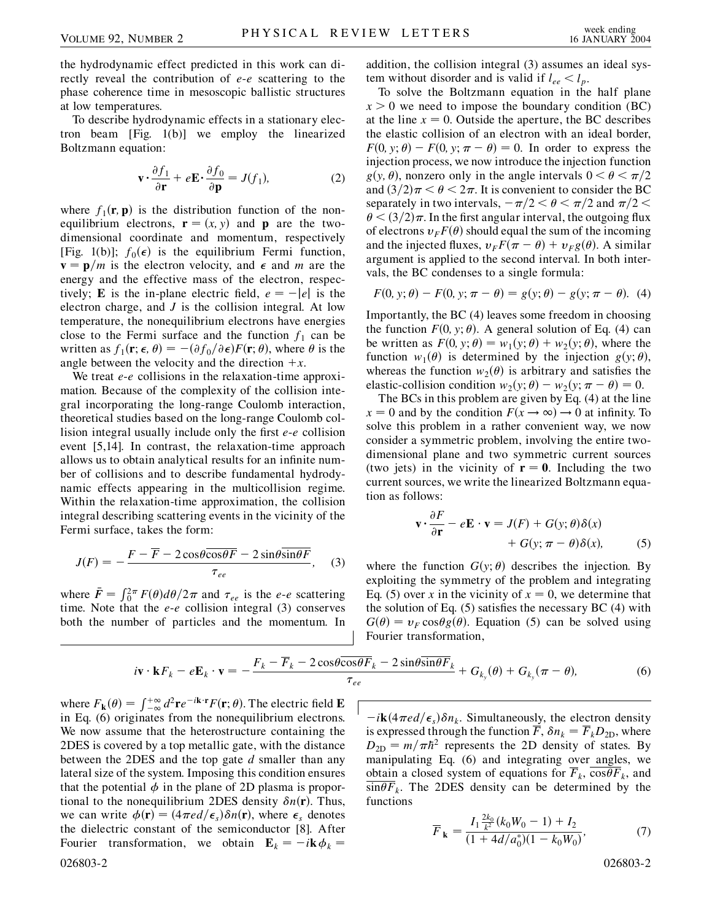the hydrodynamic effect predicted in this work can directly reveal the contribution of *e*-*e* scattering to the phase coherence time in mesoscopic ballistic structures at low temperatures.

To describe hydrodynamic effects in a stationary electron beam [Fig. 1(b)] we employ the linearized Boltzmann equation:

$$
\mathbf{v} \cdot \frac{\partial f_1}{\partial \mathbf{r}} + e \mathbf{E} \cdot \frac{\partial f_0}{\partial \mathbf{p}} = J(f_1),\tag{2}
$$

where  $f_1(\mathbf{r}, \mathbf{p})$  is the distribution function of the nonequilibrium electrons,  $\mathbf{r} = (x, y)$  and **p** are the twodimensional coordinate and momentum, respectively [Fig. 1(b)];  $f_0(\epsilon)$  is the equilibrium Fermi function,  $\mathbf{v} = \mathbf{p}/m$  is the electron velocity, and  $\epsilon$  and *m* are the energy and the effective mass of the electron, respectively; **E** is the in-plane electric field,  $e = -|e|$  is the electron charge, and *J* is the collision integral. At low temperature, the nonequilibrium electrons have energies close to the Fermi surface and the function  $f_1$  can be written as  $f_1(\mathbf{r}; \epsilon, \theta) = -(\partial f_0 / \partial \epsilon) F(\mathbf{r}; \theta)$ , where  $\theta$  is the angle between the velocity and the direction  $+x$ .

We treat *e*-*e* collisions in the relaxation-time approximation. Because of the complexity of the collision integral incorporating the long-range Coulomb interaction, theoretical studies based on the long-range Coulomb collision integral usually include only the first *e*-*e* collision event [5,14]. In contrast, the relaxation-time approach allows us to obtain analytical results for an infinite number of collisions and to describe fundamental hydrodynamic effects appearing in the multicollision regime. Within the relaxation-time approximation, the collision integral describing scattering events in the vicinity of the Fermi surface, takes the form:

$$
J(F) = -\frac{F - \overline{F} - 2\cos\theta\overline{\cos\theta F} - 2\sin\theta\overline{\sin\theta F}}{\tau_{ee}}, \quad (3)
$$

where  $\bar{F} = \int_0^{2\pi} F(\theta) d\theta / 2\pi$  and  $\tau_{ee}$  is the *e-e* scattering time. Note that the *e*-*e* collision integral (3) conserves both the number of particles and the momentum. In addition, the collision integral (3) assumes an ideal system without disorder and is valid if  $l_{ee} < l_p$ .

To solve the Boltzmann equation in the half plane  $x > 0$  we need to impose the boundary condition (BC) at the line  $x = 0$ . Outside the aperture, the BC describes the elastic collision of an electron with an ideal border,  $F(0, y; \theta) - F(0, y; \pi - \theta) = 0$ . In order to express the injection process, we now introduce the injection function  $g(y, \theta)$ , nonzero only in the angle intervals  $0 < \theta < \pi/2$ and  $\left(\frac{3}{2}\right)\pi < \theta < 2\pi$ . It is convenient to consider the BC separately in two intervals,  $-\pi/2 < \theta < \pi/2$  and  $\pi/2 <$  $\theta$  <  $(3/2)\pi$ . In the first angular interval, the outgoing flux of electrons  $v_F F(\theta)$  should equal the sum of the incoming and the injected fluxes,  $v_F F(\pi - \theta) + v_F g(\theta)$ . A similar argument is applied to the second interval. In both intervals, the BC condenses to a single formula:

$$
F(0, y; \theta) - F(0, y; \pi - \theta) = g(y; \theta) - g(y; \pi - \theta).
$$
 (4)

Importantly, the BC (4) leaves some freedom in choosing the function  $F(0, y; \theta)$ . A general solution of Eq. (4) can be written as  $F(0, y; \theta) = w_1(y; \theta) + w_2(y; \theta)$ , where the function  $w_1(\theta)$  is determined by the injection  $g(y; \theta)$ , whereas the function  $w_2(\theta)$  is arbitrary and satisfies the elastic-collision condition  $w_2(y; \theta) - w_2(y; \pi - \theta) = 0$ .

The BCs in this problem are given by Eq. (4) at the line  $x = 0$  and by the condition  $F(x \rightarrow \infty) \rightarrow 0$  at infinity. To solve this problem in a rather convenient way, we now consider a symmetric problem, involving the entire twodimensional plane and two symmetric current sources (two jets) in the vicinity of  $\mathbf{r} = \mathbf{0}$ . Including the two current sources, we write the linearized Boltzmann equation as follows:

$$
\mathbf{v} \cdot \frac{\partial F}{\partial \mathbf{r}} - e\mathbf{E} \cdot \mathbf{v} = J(F) + G(y; \theta)\delta(x) + G(y; \pi - \theta)\delta(x), \tag{5}
$$

where the function  $G(y; \theta)$  describes the injection. By exploiting the symmetry of the problem and integrating Eq. (5) over *x* in the vicinity of  $x = 0$ , we determine that the solution of Eq.  $(5)$  satisfies the necessary BC  $(4)$  with  $G(\theta) = v_F \cos \theta g(\theta)$ . Equation (5) can be solved using Fourier transformation,

$$
i\mathbf{v}\cdot\mathbf{k}F_k - e\mathbf{E}_k\cdot\mathbf{v} = -\frac{F_k - \overline{F}_k - 2\cos\theta\overline{\cos\theta}F_k - 2\sin\theta\overline{\sin\theta}F_k}{\tau_{ee}} + G_{k_y}(\theta) + G_{k_y}(\pi - \theta),\tag{6}
$$

where  $F_{\bf k}(\theta) = \int_{-\infty}^{+\infty} d^2 {\bf r} e^{-i {\bf k} \cdot {\bf r}} F({\bf r}; \theta)$ . The electric field **E** in Eq. (6) originates from the nonequilibrium electrons. We now assume that the heterostructure containing the 2DES is covered by a top metallic gate, with the distance between the 2DES and the top gate *d* smaller than any lateral size of the system. Imposing this condition ensures that the potential  $\phi$  in the plane of 2D plasma is proportional to the nonequilibrium 2DES density  $\delta n(\mathbf{r})$ . Thus, we can write  $\phi(\mathbf{r}) = (4\pi e d/\epsilon_s) \delta n(\mathbf{r})$ , where  $\epsilon_s$  denotes the dielectric constant of the semiconductor [8]. After Fourier transformation, we obtain  $\mathbf{E}_k = -i\mathbf{k}\phi_k =$ 026803-2 026803-2

 $\vec{a}$  – *i***k**(4 $\pi$ *ed*/ $\epsilon$ <sub>s</sub>) $\delta n_k$ . Simultaneously, the electron density is expressed through the function  $\overline{F}$ ,  $\delta n_k = \overline{F}_k D_{2D}$ , where  $D_{2D} = m/\pi \hbar^2$  represents the 2D density of states. By manipulating Eq. (6) and integrating over angles, we obtain a closed system of equations for  $\overline{F}_k$ ,  $\overline{\cos \theta} \overline{F}_k$ , and  $sin\theta F_k$ . The 2DES density can be determined by the functions

$$
\overline{F}_{\mathbf{k}} = \frac{I_1 \frac{2k_0}{k^2} (k_0 W_0 - 1) + I_2}{(1 + 4d/a_0^*)(1 - k_0 W_0)},
$$
\n(7)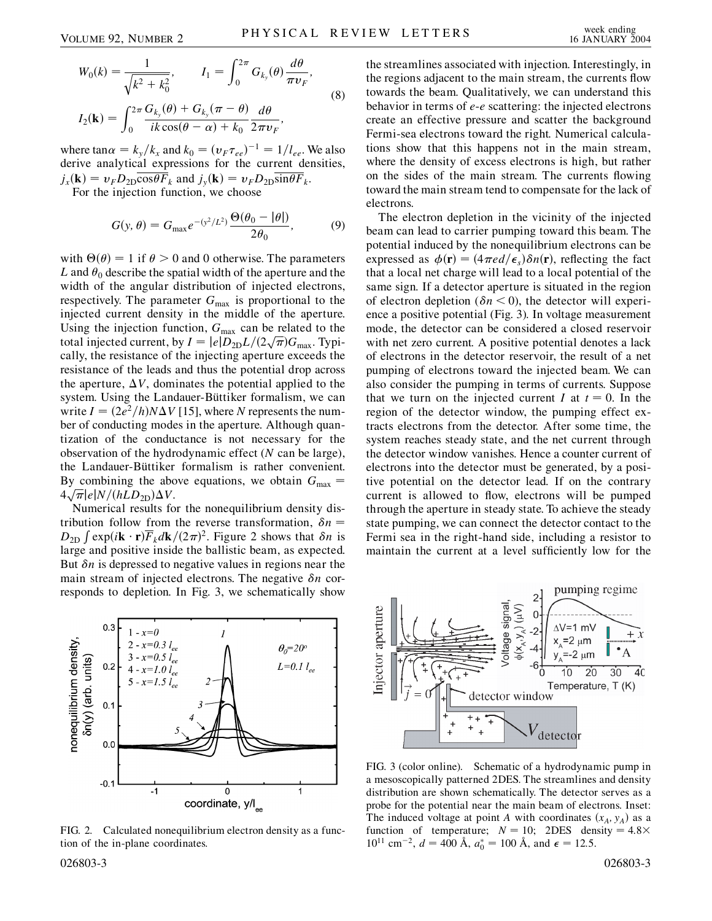$$
W_0(k) = \frac{1}{\sqrt{k^2 + k_0^2}}, \qquad I_1 = \int_0^{2\pi} G_{k_y}(\theta) \frac{d\theta}{\pi v_F},
$$
  
\n
$$
I_2(\mathbf{k}) = \int_0^{2\pi} \frac{G_{k_y}(\theta) + G_{k_y}(\pi - \theta)}{ik \cos(\theta - \alpha) + k_0} \frac{d\theta}{2\pi v_F},
$$
\n(8)

where  $\tan \alpha = k_y/k_x$  and  $k_0 = (v_F \tau_{ee})^{-1} = 1/l_{ee}$ . We also derive analytical expressions for the current densities,  $j_x(\mathbf{k}) = v_F D_{2D} \overline{\cos \theta F}_k$  and  $j_y(\mathbf{k}) = v_F D_{2D} \overline{\sin \theta F}_k$ .

For the injection function, we choose

$$
G(y,\theta) = G_{\text{max}}e^{-(y^2/L^2)}\frac{\Theta(\theta_0 - |\theta|)}{2\theta_0},\tag{9}
$$

with  $\Theta(\theta) = 1$  if  $\theta > 0$  and 0 otherwise. The parameters *L* and  $\theta_0$  describe the spatial width of the aperture and the width of the angular distribution of injected electrons, respectively. The parameter  $G_{\text{max}}$  is proportional to the injected current density in the middle of the aperture. Using the injection function,  $G_{\text{max}}$  can be related to the Using the injection function,  $G_{\text{max}}$  can be related to the total injected current, by  $I = |e|D_{2D}L/(2\sqrt{\pi})G_{\text{max}}$ . Typically, the resistance of the injecting aperture exceeds the resistance of the leads and thus the potential drop across the aperture,  $\Delta V$ , dominates the potential applied to the system. Using the Landauer-Büttiker formalism, we can write  $I = (2e^2/h)N\Delta V$  [15], where *N* represents the number of conducting modes in the aperture. Although quantization of the conductance is not necessary for the observation of the hydrodynamic effect (*N* can be large), the Landauer-Büttiker formalism is rather convenient. By combining the above equations, we obtain  $G_{\text{max}} =$ By combining the about<br> $4\sqrt{\pi}$ |e|N/(hLD<sub>2D</sub>) $\Delta V$ .

Numerical results for the nonequilibrium density distribution follow from the reverse transformation,  $\delta n =$  $D_{2D} \int \exp(i\mathbf{k} \cdot \mathbf{r}) \overline{F}_k d\mathbf{k} / (2\pi)^2$ . Figure 2 shows that  $\delta n$  is large and positive inside the ballistic beam, as expected. But  $\delta n$  is depressed to negative values in regions near the main stream of injected electrons. The negative  $\delta n$  corresponds to depletion. In Fig. 3, we schematically show



FIG. 2. Calculated nonequilibrium electron density as a function of the in-plane coordinates.

the streamlines associated with injection. Interestingly, in the regions adjacent to the main stream, the currents flow towards the beam. Qualitatively, we can understand this behavior in terms of *e*-*e* scattering: the injected electrons create an effective pressure and scatter the background Fermi-sea electrons toward the right. Numerical calculations show that this happens not in the main stream, where the density of excess electrons is high, but rather on the sides of the main stream. The currents flowing toward the main stream tend to compensate for the lack of electrons.

The electron depletion in the vicinity of the injected beam can lead to carrier pumping toward this beam. The potential induced by the nonequilibrium electrons can be expressed as  $\phi(\mathbf{r}) = (4 \pi e d/\epsilon_s) \delta n(\mathbf{r})$ , reflecting the fact that a local net charge will lead to a local potential of the same sign. If a detector aperture is situated in the region of electron depletion  $(\delta n < 0)$ , the detector will experience a positive potential (Fig. 3). In voltage measurement mode, the detector can be considered a closed reservoir with net zero current. A positive potential denotes a lack of electrons in the detector reservoir, the result of a net pumping of electrons toward the injected beam. We can also consider the pumping in terms of currents. Suppose that we turn on the injected current *I* at  $t = 0$ . In the region of the detector window, the pumping effect extracts electrons from the detector. After some time, the system reaches steady state, and the net current through the detector window vanishes. Hence a counter current of electrons into the detector must be generated, by a positive potential on the detector lead. If on the contrary current is allowed to flow, electrons will be pumped through the aperture in steady state. To achieve the steady state pumping, we can connect the detector contact to the Fermi sea in the right-hand side, including a resistor to maintain the current at a level sufficiently low for the



FIG. 3 (color online). Schematic of a hydrodynamic pump in a mesoscopically patterned 2DES. The streamlines and density distribution are shown schematically. The detector serves as a probe for the potential near the main beam of electrons. Inset: The induced voltage at point *A* with coordinates  $(x_A, y_A)$  as a function of temperature;  $N = 10$ ; 2DES density =  $4.8 \times$  $10^{11}$  cm<sup>-2</sup>,  $d = 400$  Å,  $a_0^* = 100$  Å, and  $\epsilon = 12.5$ .